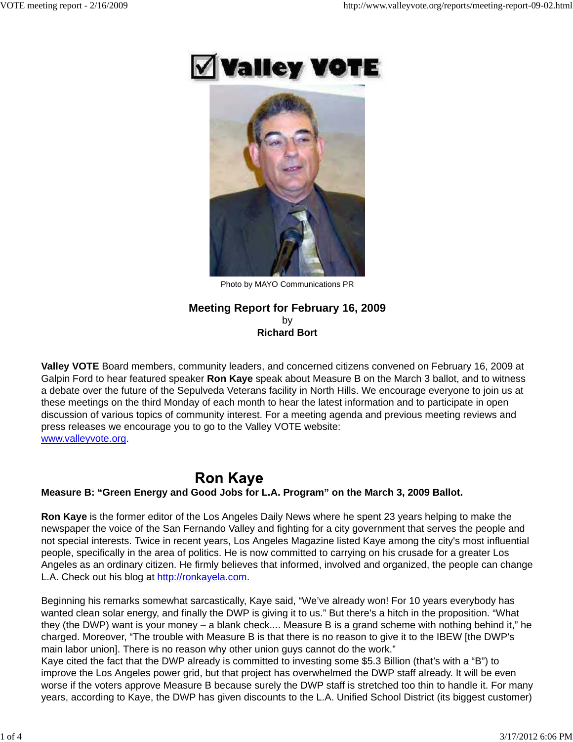



Photo by MAYO Communications PR

# **Meeting Report for February 16, 2009** by **Richard Bort**

**Valley VOTE** Board members, community leaders, and concerned citizens convened on February 16, 2009 at Galpin Ford to hear featured speaker **Ron Kaye** speak about Measure B on the March 3 ballot, and to witness a debate over the future of the Sepulveda Veterans facility in North Hills. We encourage everyone to join us at these meetings on the third Monday of each month to hear the latest information and to participate in open discussion of various topics of community interest. For a meeting agenda and previous meeting reviews and press releases we encourage you to go to the Valley VOTE website: www.valleyvote.org.

# **Ron Kaye**

# **Measure B: "Green Energy and Good Jobs for L.A. Program" on the March 3, 2009 Ballot.**

**Ron Kaye** is the former editor of the Los Angeles Daily News where he spent 23 years helping to make the newspaper the voice of the San Fernando Valley and fighting for a city government that serves the people and not special interests. Twice in recent years, Los Angeles Magazine listed Kaye among the city's most influential people, specifically in the area of politics. He is now committed to carrying on his crusade for a greater Los Angeles as an ordinary citizen. He firmly believes that informed, involved and organized, the people can change L.A. Check out his blog at http://ronkayela.com.

Beginning his remarks somewhat sarcastically, Kaye said, "We've already won! For 10 years everybody has wanted clean solar energy, and finally the DWP is giving it to us." But there's a hitch in the proposition. "What they (the DWP) want is your money – a blank check.... Measure B is a grand scheme with nothing behind it," he charged. Moreover, "The trouble with Measure B is that there is no reason to give it to the IBEW [the DWP's main labor union]. There is no reason why other union guys cannot do the work."

Kaye cited the fact that the DWP already is committed to investing some \$5.3 Billion (that's with a "B") to improve the Los Angeles power grid, but that project has overwhelmed the DWP staff already. It will be even worse if the voters approve Measure B because surely the DWP staff is stretched too thin to handle it. For many years, according to Kaye, the DWP has given discounts to the L.A. Unified School District (its biggest customer)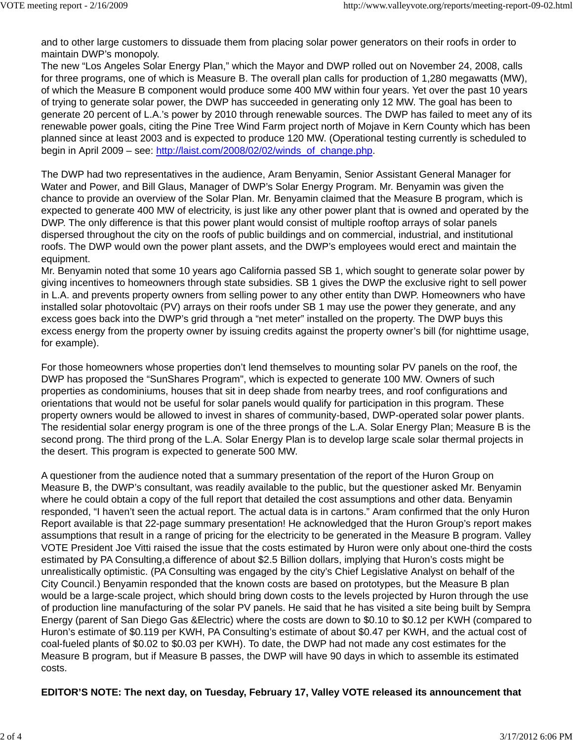and to other large customers to dissuade them from placing solar power generators on their roofs in order to maintain DWP's monopoly.

The new "Los Angeles Solar Energy Plan," which the Mayor and DWP rolled out on November 24, 2008, calls for three programs, one of which is Measure B. The overall plan calls for production of 1,280 megawatts (MW), of which the Measure B component would produce some 400 MW within four years. Yet over the past 10 years of trying to generate solar power, the DWP has succeeded in generating only 12 MW. The goal has been to generate 20 percent of L.A.'s power by 2010 through renewable sources. The DWP has failed to meet any of its renewable power goals, citing the Pine Tree Wind Farm project north of Mojave in Kern County which has been planned since at least 2003 and is expected to produce 120 MW. (Operational testing currently is scheduled to begin in April 2009 – see: http://laist.com/2008/02/02/winds\_of\_change.php.

The DWP had two representatives in the audience, Aram Benyamin, Senior Assistant General Manager for Water and Power, and Bill Glaus, Manager of DWP's Solar Energy Program. Mr. Benyamin was given the chance to provide an overview of the Solar Plan. Mr. Benyamin claimed that the Measure B program, which is expected to generate 400 MW of electricity, is just like any other power plant that is owned and operated by the DWP. The only difference is that this power plant would consist of multiple rooftop arrays of solar panels dispersed throughout the city on the roofs of public buildings and on commercial, industrial, and institutional roofs. The DWP would own the power plant assets, and the DWP's employees would erect and maintain the equipment.

Mr. Benyamin noted that some 10 years ago California passed SB 1, which sought to generate solar power by giving incentives to homeowners through state subsidies. SB 1 gives the DWP the exclusive right to sell power in L.A. and prevents property owners from selling power to any other entity than DWP. Homeowners who have installed solar photovoltaic (PV) arrays on their roofs under SB 1 may use the power they generate, and any excess goes back into the DWP's grid through a "net meter" installed on the property. The DWP buys this excess energy from the property owner by issuing credits against the property owner's bill (for nighttime usage, for example).

For those homeowners whose properties don't lend themselves to mounting solar PV panels on the roof, the DWP has proposed the "SunShares Program", which is expected to generate 100 MW. Owners of such properties as condominiums, houses that sit in deep shade from nearby trees, and roof configurations and orientations that would not be useful for solar panels would qualify for participation in this program. These property owners would be allowed to invest in shares of community-based, DWP-operated solar power plants. The residential solar energy program is one of the three prongs of the L.A. Solar Energy Plan; Measure B is the second prong. The third prong of the L.A. Solar Energy Plan is to develop large scale solar thermal projects in the desert. This program is expected to generate 500 MW.

A questioner from the audience noted that a summary presentation of the report of the Huron Group on Measure B, the DWP's consultant, was readily available to the public, but the questioner asked Mr. Benyamin where he could obtain a copy of the full report that detailed the cost assumptions and other data. Benyamin responded, "I haven't seen the actual report. The actual data is in cartons." Aram confirmed that the only Huron Report available is that 22-page summary presentation! He acknowledged that the Huron Group's report makes assumptions that result in a range of pricing for the electricity to be generated in the Measure B program. Valley VOTE President Joe Vitti raised the issue that the costs estimated by Huron were only about one-third the costs estimated by PA Consulting,a difference of about \$2.5 Billion dollars, implying that Huron's costs might be unrealistically optimistic. (PA Consulting was engaged by the city's Chief Legislative Analyst on behalf of the City Council.) Benyamin responded that the known costs are based on prototypes, but the Measure B plan would be a large-scale project, which should bring down costs to the levels projected by Huron through the use of production line manufacturing of the solar PV panels. He said that he has visited a site being built by Sempra Energy (parent of San Diego Gas &Electric) where the costs are down to \$0.10 to \$0.12 per KWH (compared to Huron's estimate of \$0.119 per KWH, PA Consulting's estimate of about \$0.47 per KWH, and the actual cost of coal-fueled plants of \$0.02 to \$0.03 per KWH). To date, the DWP had not made any cost estimates for the Measure B program, but if Measure B passes, the DWP will have 90 days in which to assemble its estimated costs.

#### **EDITOR'S NOTE: The next day, on Tuesday, February 17, Valley VOTE released its announcement that**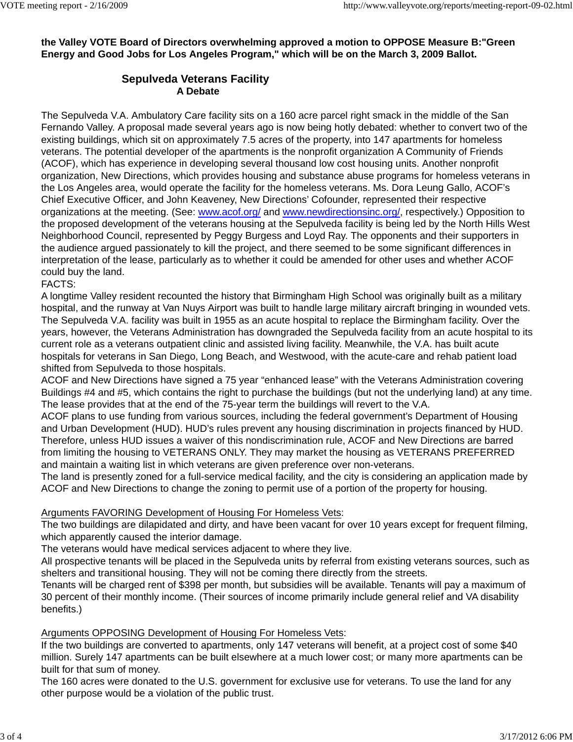**the Valley VOTE Board of Directors overwhelming approved a motion to OPPOSE Measure B:"Green Energy and Good Jobs for Los Angeles Program," which will be on the March 3, 2009 Ballot.**

# **Sepulveda Veterans Facility A Debate**

The Sepulveda V.A. Ambulatory Care facility sits on a 160 acre parcel right smack in the middle of the San Fernando Valley. A proposal made several years ago is now being hotly debated: whether to convert two of the existing buildings, which sit on approximately 7.5 acres of the property, into 147 apartments for homeless veterans. The potential developer of the apartments is the nonprofit organization A Community of Friends (ACOF), which has experience in developing several thousand low cost housing units. Another nonprofit organization, New Directions, which provides housing and substance abuse programs for homeless veterans in the Los Angeles area, would operate the facility for the homeless veterans. Ms. Dora Leung Gallo, ACOF's Chief Executive Officer, and John Keaveney, New Directions' Cofounder, represented their respective organizations at the meeting. (See: www.acof.org/ and www.newdirectionsinc.org/, respectively.) Opposition to the proposed development of the veterans housing at the Sepulveda facility is being led by the North Hills West Neighborhood Council, represented by Peggy Burgess and Loyd Ray. The opponents and their supporters in the audience argued passionately to kill the project, and there seemed to be some significant differences in interpretation of the lease, particularly as to whether it could be amended for other uses and whether ACOF could buy the land.

FACTS:

A longtime Valley resident recounted the history that Birmingham High School was originally built as a military hospital, and the runway at Van Nuys Airport was built to handle large military aircraft bringing in wounded vets. The Sepulveda V.A. facility was built in 1955 as an acute hospital to replace the Birmingham facility. Over the years, however, the Veterans Administration has downgraded the Sepulveda facility from an acute hospital to its current role as a veterans outpatient clinic and assisted living facility. Meanwhile, the V.A. has built acute hospitals for veterans in San Diego, Long Beach, and Westwood, with the acute-care and rehab patient load shifted from Sepulveda to those hospitals.

ACOF and New Directions have signed a 75 year "enhanced lease" with the Veterans Administration covering Buildings #4 and #5, which contains the right to purchase the buildings (but not the underlying land) at any time. The lease provides that at the end of the 75-year term the buildings will revert to the V.A.

ACOF plans to use funding from various sources, including the federal government's Department of Housing and Urban Development (HUD). HUD's rules prevent any housing discrimination in projects financed by HUD. Therefore, unless HUD issues a waiver of this nondiscrimination rule, ACOF and New Directions are barred from limiting the housing to VETERANS ONLY. They may market the housing as VETERANS PREFERRED and maintain a waiting list in which veterans are given preference over non-veterans.

The land is presently zoned for a full-service medical facility, and the city is considering an application made by ACOF and New Directions to change the zoning to permit use of a portion of the property for housing.

# Arguments FAVORING Development of Housing For Homeless Vets:

The two buildings are dilapidated and dirty, and have been vacant for over 10 years except for frequent filming, which apparently caused the interior damage.

The veterans would have medical services adjacent to where they live.

All prospective tenants will be placed in the Sepulveda units by referral from existing veterans sources, such as shelters and transitional housing. They will not be coming there directly from the streets.

Tenants will be charged rent of \$398 per month, but subsidies will be available. Tenants will pay a maximum of 30 percent of their monthly income. (Their sources of income primarily include general relief and VA disability benefits.)

#### Arguments OPPOSING Development of Housing For Homeless Vets:

If the two buildings are converted to apartments, only 147 veterans will benefit, at a project cost of some \$40 million. Surely 147 apartments can be built elsewhere at a much lower cost; or many more apartments can be built for that sum of money.

The 160 acres were donated to the U.S. government for exclusive use for veterans. To use the land for any other purpose would be a violation of the public trust.